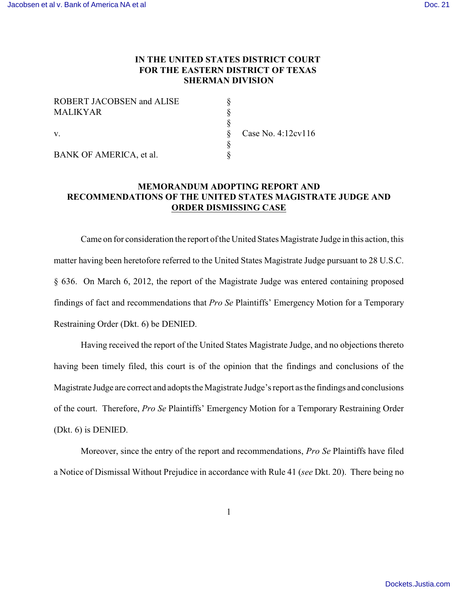## **IN THE UNITED STATES DISTRICT COURT FOR THE EASTERN DISTRICT OF TEXAS SHERMAN DIVISION**

| <b>ROBERT JACOBSEN and ALISE</b> |         |
|----------------------------------|---------|
| <b>MALIKYAR</b>                  |         |
|                                  |         |
| $\mathbf{V}$ .                   | Case No |
|                                  |         |
| BANK OF AMERICA, et al.          |         |

Case No. 4:12cv116

**MEMORANDUM ADOPTING REPORT AND RECOMMENDATIONS OF THE UNITED STATES MAGISTRATE JUDGE AND ORDER DISMISSING CASE**

Came on for consideration the report ofthe United States Magistrate Judge in this action, this matter having been heretofore referred to the United States Magistrate Judge pursuant to 28 U.S.C. § 636. On March 6, 2012, the report of the Magistrate Judge was entered containing proposed findings of fact and recommendations that *Pro Se* Plaintiffs' Emergency Motion for a Temporary Restraining Order (Dkt. 6) be DENIED.

Having received the report of the United States Magistrate Judge, and no objections thereto having been timely filed, this court is of the opinion that the findings and conclusions of the Magistrate Judge are correct and adopts the Magistrate Judge's report as the findings and conclusions of the court. Therefore, *Pro Se* Plaintiffs' Emergency Motion for a Temporary Restraining Order (Dkt. 6) is DENIED.

Moreover, since the entry of the report and recommendations, *Pro Se* Plaintiffs have filed a Notice of Dismissal Without Prejudice in accordance with Rule 41 (*see* Dkt. 20). There being no